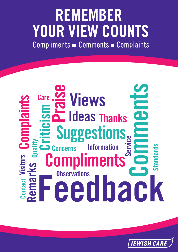# **REMEMBER YOUR VIEW COUNTS**<br>Compliments **Comments - Complaints**



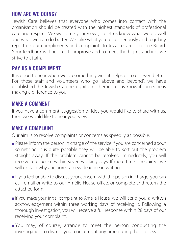## HOW ARE WE DOING?

Jewish Care believes that everyone who comes into contact with the organisation should be treated with the highest standards of professional care and respect. We welcome your views, so let us know what we do well and what we can do better. We take what you tell us seriously and regularly report on our compliments and complaints to Jewish Care's Trustee Board. Your feedback will help us to improve and to meet the high standards we strive to attain.

## PAY US A COMPLIMENT

It is good to hear when we do something well, it helps us to do even better. For those staff and volunteers who go 'above and beyond', we have established the Jewish Care recognition scheme. Let us know if someone is making a difference to you.

## MAKE A COMMENT

If you have a comment, suggestion or idea you would like to share with us, then we would like to hear your views.

## MAKE A COMPLAINT

Our aim is to resolve complaints or concerns as speedily as possible.

- Please inform the person in charge of the service if you are concerned about something. It is quite possible they will be able to sort out the problem straight away. If the problem cannot be resolved immediately, you will receive a response within seven working days. If more time is required, we will explain why and agree a new deadline in writing.
- If you feel unable to discuss your concern with the person in charge, you can call, email or write to our Amélie House office, or complete and return the attached form.
- If you make your initial complaint to Amélie House, we will send you a written acknowledgement within three working days of receiving it. Following a thorough investigation, you will receive a full response within 28 days of our receiving your complaint.
- You may, of course, arrange to meet the person conducting the investigation to discuss your concerns at any time during the process.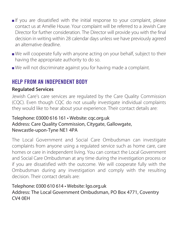- If you are dissatisfied with the initial response to your complaint, please contact us at Amélie House. Your complaint will be referred to a Jewish Care Director for further consideration. The Director will provide you with the final decision in writing within 28 calendar days unless we have previously agreed an alternative deadline.
- We will cooperate fully with anyone acting on your behalf, subject to their having the appropriate authority to do so.
- We will not discriminate against you for having made a complaint.

## HELP FROM AN INDEPENDENT BODY

#### **Regulated Services**

Jewish Care's care services are regulated by the Care Quality Commission (CQC). Even though CQC do not usually investigate individual complaints they would like to hear about your experience. Their contact details are:

#### Telephone: 03000 616 161 • Website: cqc.org.uk Address: Care Quality Commission, Citygate, Gallowgate, Newcastle-upon-Tyne NE1 4PA

The Local Government and Social Care Ombudsman can investigate complaints from anyone using a regulated service such as home care, care homes or care in independent living. You can contact the Local Government and Social Care Ombudsman at any time during the investigation process or if you are dissatisfied with the outcome. We will cooperate fully with the Ombudsman during any investigation and comply with the resulting decision. Their contact details are:

#### Telephone: 0300 610 614 • Website: lgo.org.uk

Address: The Local Government Ombudsman, PO Box 4771, Coventry CV4 0EH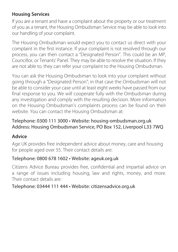### **Housing Services**

If you are a tenant and have a complaint about the property or our treatment of you as a tenant, the Housing Ombudsman Service may be able to look into our handling of your complaint.

The Housing Ombudsman would expect you to contact us direct with your complaint in the first instance. If your complaint is not resolved through our process, you can then contact a "Designated Person". This could be an MP, Councillor, or Tenants' Panel. They may be able to resolve the situation. If they are not able to, they can refer your complaint to the Housing Ombudsman.

You can ask the Housing Ombudsman to look into your complaint without going through a "Designated Person"; in that case the Ombudsman will not be able to consider your case until at least eight weeks have passed from our final response to you. We will cooperate fully with the Ombudsman during any investigation and comply with the resulting decision. More information on the Housing Ombudsman's complaints process can be found on their website. You can contact the Housing Ombudsman at:

#### Telephone: 0300 111 3000 • Website: housing-ombudsman.org.uk Address: Housing Ombudsman Service, PO Box 152, Liverpool L33 7WQ

## **Advice**

Age UK provides free independent advice about money, care and housing for people aged over 55. Their contact details are:

#### Telephone: 0800 678 1602 • Website: ageuk.org.uk

Citizens Advice Bureau provides free, confidential and impartial advice on a range of issues including housing, law and rights, money, and more. Their contact details are:

#### Telephone: 03444 111 444 • Website: citizensadvice.org.uk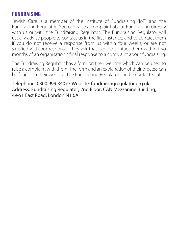## FUNDRAISING

Jewish Care is a member of the Institute of Fundraising (IoF) and the Fundraising Regulator. You can raise a complaint about Fundraising directly with us or with the Fundraising Regulator. The Fundraising Regulator will usually advise people to contact us in the first instance, and to contact them if you do not receive a response from us within four weeks, or are not satisfied with our response. They ask that people contact them within two months of an organisation's final response to a complaint about fundraising.

The Fundraising Regulator has a form on their website which can be used to raise a complaint with them. The form and an explanation of their process can be found on their website. The Fundraising Regulator can be contacted at:

Telephone: 0300 999 3407 • Website: fundraisingregulator.org.uk Address: Fundraising Regulator, 2nd Floor, CAN Mezzanine Building, 49-51 East Road, London N1 6AH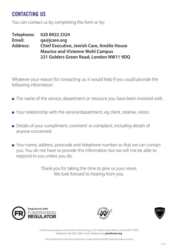## CONTACTING IIS

You can contact us by completing the form or by:

**Telephone: 020 8922 2324 Email: qa@jcare.org Address: Chief Executive, Jewish Care, Amélie House Maurice and Vivienne Wohl Campus 221 Golders Green Road, London NW11 9DQ**

 Whatever your reason for contacting us, it would help if you could provide the following information:

- The name of the service, department or resource you have been involved with.
- Your relationship with the service/department, eg client, relative, visitor.
- Details of your compliment, comment or complaint, including details of anyone concerned.
- Your name, address, postcode and telephone number so that we can contact you. You do not have to provide this information but we will not be able to respond to you unless you do.

Thank you for taking the time to give us your views. We look forward to hearing from you.







Amélie House, Maurice and Vivienne Wohl Campus, 221 Golders Green Road, London NW11 9DQ Telephone: 020 8922 2000 Email: info@jcare.org **jewishcare.org**

Charity Registration Number 802559 Registered in England Number 2447900. Registered address: as above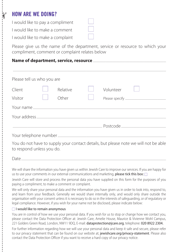## HOW ARE WE DOING?

 $\gamma$ 

I would like to pay a compliment I would like to make a comment

I would like to make a complaint

Please give us the name of the department, service or resource to which your compliment, comment or complaint relates below

#### **Name of department, service, resource** ............................................................................................................................

| Please tell us who you are |  |                   |  |           |  |  |  |
|----------------------------|--|-------------------|--|-----------|--|--|--|
| Client<br>Visitor          |  | Relative<br>Other |  | Volunteer |  |  |  |
|                            |  |                   |  |           |  |  |  |
|                            |  |                   |  |           |  |  |  |
|                            |  |                   |  |           |  |  |  |
|                            |  |                   |  |           |  |  |  |

You do not have to supply your contact details, but please note we will not be able to respond unless you do.

Date......................................................................................................................................................................................................................................................

We will share the information you have given us within Jewish Care to improve our services. If you are happy for us to use your comments in our external communications and marketing, please tick this box:  $\Box$ 

Jewish Care will store and process the personal data you have supplied on this form for the purposes of you paying a compliment, to make a comment or complaint.

We will only share your personal data and the information you have given us in order to look into, respond to, and learn from your feedback. Generally we would share internally only, and would only share outside the organisation with your consent unless it is necessary to do so in the interests of safeguarding, or of regulatory or legal compliance. However, if you wish for your name not be disclosed, please indicate below:

#### $\Box$  I would like to remain anonymous

You are in control of how we use your personal data. If you wish for us to stop or change how we contact you, please contact the Data Protection Officer at: Jewish Care, Amelie House, Maurice & Vivienne Wohl Campus, 221 Golders Green Road, London, NW11 9DQ, E-mail: dataprotection@jcare.org, telephone: 020 8922 2304.

For further information regarding how we will use your personal data and keep it safe and secure, please refer to our privacy statement that can be found on our website at; jewishcare.org/privacy-statement. Please also contact the Data Protection Officer if you want to receive a hard copy of our privacy notice.